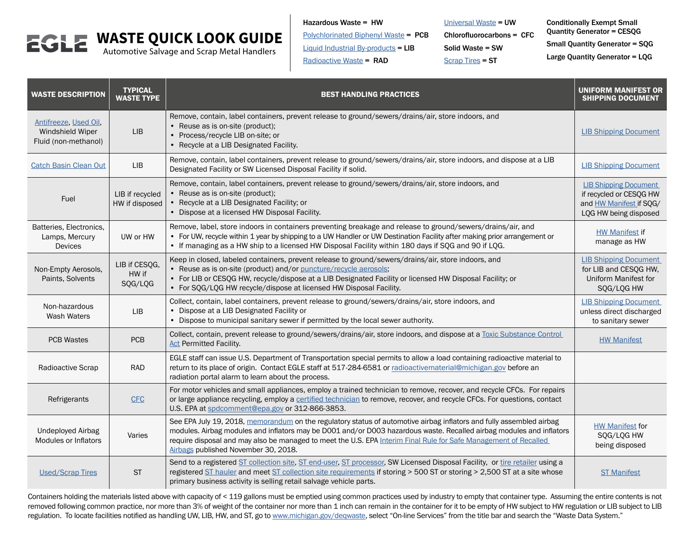# **WASTE QUICK LOOK GUIDE**

Automotive Salvage and Scrap Metal Handlers

Hazardous Waste = HW

[Polychlorinated Biphenyl Waste](http://www.epa.gov/pcbs) = PCB

[Liquid Industrial By-product](http://www.michigan.gov/documents/deq/deq-ess-p2tas-liwgenerator_207980_7.pdf)s  $=$  LIB

[Radioactive Waste](http://www.michigan.gov/documents/deq/deq-ess-caap-manufguide-chap10_313428_7.pdf) = RAD

[Universal Waste](http://www.michigan.gov/documents/deq/deq-ead-tas-univwaste_320878_7.pdf) = UW Chlorofluorocarbons = CFC Solid Waste = SW

[Scrap Tires](http://www.michigan.gov/scraptires) = ST

Conditionally Exempt Small Quantity Generator = CESQG Small Quantity Generator = SQG Large Quantity Generator = LQG

| <b>WASTE DESCRIPTION</b>                                          | <b>TYPICAL</b><br><b>WASTE TYPE</b> | <b>BEST HANDLING PRACTICES</b>                                                                                                                                                                                                                                                                                                                                                                           | <b>UNIFORM MANIFEST OR</b><br><b>SHIPPING DOCUMENT</b>                                                      |
|-------------------------------------------------------------------|-------------------------------------|----------------------------------------------------------------------------------------------------------------------------------------------------------------------------------------------------------------------------------------------------------------------------------------------------------------------------------------------------------------------------------------------------------|-------------------------------------------------------------------------------------------------------------|
| Antifreeze, Used Oil,<br>Windshield Wiper<br>Fluid (non-methanol) | <b>LIB</b>                          | Remove, contain, label containers, prevent release to ground/sewers/drains/air, store indoors, and<br>• Reuse as is on-site (product);<br>• Process/recycle LIB on-site; or<br>• Recycle at a LIB Designated Facility.                                                                                                                                                                                   | <b>LIB Shipping Document</b>                                                                                |
| <b>Catch Basin Clean Out</b>                                      | <b>LIB</b>                          | Remove, contain, label containers, prevent release to ground/sewers/drains/air, store indoors, and dispose at a LIB<br>Designated Facility or SW Licensed Disposal Facility if solid.                                                                                                                                                                                                                    | <b>LIB Shipping Document</b>                                                                                |
| Fuel                                                              | LIB if recycled<br>HW if disposed   | Remove, contain, label containers, prevent release to ground/sewers/drains/air, store indoors, and<br>• Reuse as is on-site (product);<br>• Recycle at a LIB Designated Facility; or<br>• Dispose at a licensed HW Disposal Facility.                                                                                                                                                                    | <b>LIB Shipping Document</b><br>if recycled or CESQG HW<br>and HW Manifest if SQG/<br>LQG HW being disposed |
| Batteries, Electronics,<br>Lamps, Mercury<br><b>Devices</b>       | UW or HW                            | Remove, label, store indoors in containers preventing breakage and release to ground/sewers/drains/air, and<br>• For UW, recycle within 1 year by shipping to a UW Handler or UW Destination Facility after making prior arrangement or<br>• If managing as a HW ship to a licensed HW Disposal Facility within 180 days if SQG and 90 if LQG.                                                           | <b>HW Manifest if</b><br>manage as HW                                                                       |
| Non-Empty Aerosols,<br>Paints, Solvents                           | LIB if CESQG,<br>HW if<br>SQG/LQG   | Keep in closed, labeled containers, prevent release to ground/sewers/drains/air, store indoors, and<br>• Reuse as is on-site (product) and/or puncture/recycle aerosols;<br>• For LIB or CESQG HW, recycle/dispose at a LIB Designated Facility or licensed HW Disposal Facility; or<br>• For SQG/LQG HW recycle/dispose at licensed HW Disposal Facility.                                               | <b>LIB Shipping Document</b><br>for LIB and CESQG HW,<br>Uniform Manifest for<br>SQG/LQG HW                 |
| Non-hazardous<br>Wash Waters                                      | <b>LIB</b>                          | Collect, contain, label containers, prevent release to ground/sewers/drains/air, store indoors, and<br>• Dispose at a LIB Designated Facility or<br>• Dispose to municipal sanitary sewer if permitted by the local sewer authority.                                                                                                                                                                     | <b>LIB Shipping Document</b><br>unless direct discharged<br>to sanitary sewer                               |
| <b>PCB Wastes</b>                                                 | PCB                                 | Collect, contain, prevent release to ground/sewers/drains/air, store indoors, and dispose at a Toxic Substance Control<br><b>Act Permitted Facility.</b>                                                                                                                                                                                                                                                 | <b>HW Manifest</b>                                                                                          |
| Radioactive Scrap                                                 | <b>RAD</b>                          | EGLE staff can issue U.S. Department of Transportation special permits to allow a load containing radioactive material to<br>return to its place of origin. Contact EGLE staff at 517-284-6581 or radioactivematerial@michigan.gov before an<br>radiation portal alarm to learn about the process.                                                                                                       |                                                                                                             |
| Refrigerants                                                      | <b>CFC</b>                          | For motor vehicles and small appliances, employ a trained technician to remove, recover, and recycle CFCs. For repairs<br>or large appliance recycling, employ a certified technician to remove, recover, and recycle CFCs. For questions, contact<br>U.S. EPA at spdcomment@epa.gov or 312-866-3853.                                                                                                    |                                                                                                             |
| <b>Undeployed Airbag</b><br><b>Modules or Inflators</b>           | Varies                              | See EPA July 19, 2018, memorandum on the regulatory status of automotive airbag inflators and fully assembled airbag<br>modules. Airbag modules and inflators may be D001 and/or D003 hazardous waste. Recalled airbag modules and inflators<br>require disposal and may also be managed to meet the U.S. EPA Interim Final Rule for Safe Management of Recalled<br>Airbags published November 30, 2018. | <b>HW Manifest for</b><br>SQG/LQG HW<br>being disposed                                                      |
| <b>Used/Scrap Tires</b>                                           | <b>ST</b>                           | Send to a registered ST collection site, ST end-user, ST processor, SW Licensed Disposal Facility, or tire retailer using a<br>registered ST hauler and meet ST collection site requirements if storing > 500 ST or storing > 2,500 ST at a site whose<br>primary business activity is selling retail salvage vehicle parts.                                                                             | <b>ST Manifest</b>                                                                                          |

Containers holding the materials listed above with capacity of < 119 gallons must be emptied using common practices used by industry to empty that container type. Assuming the entire contents is not removed following common practice, nor more than 3% of weight of the container nor more than 1 inch can remain in the container for it to be empty of HW subject to HW regulation or LIB subject to LIB regulation. To locate facilities notified as handling UW, LIB, HW, and ST, go to [www.michigan.gov/deqwaste,](http://www.michigan.gov/deqwaste) select "On-line Services" from the title bar and search the "Waste Data System."